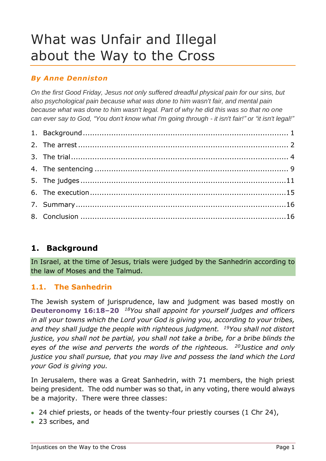# What was Unfair and Illegal about the Way to the Cross

# *By Anne Denniston*

*On the first Good Friday, Jesus not only suffered dreadful physical pain for our sins, but also psychological pain because what was done to him wasn't fair, and mental pain because what was done to him wasn't legal. Part of why he did this was so that no one can ever say to God, "You don't know what I'm going through - it isn't fair!" or "it isn't legal!"*

# <span id="page-0-0"></span>**1. Background**

In Israel, at the time of Jesus, trials were judged by the Sanhedrin according to the law of Moses and the Talmud.

# **1.1. The Sanhedrin**

The Jewish system of jurisprudence, law and judgment was based mostly on **Deuteronomy 16:18–20** *<sup>18</sup>You shall appoint for yourself judges and officers in all your towns which the Lord your God is giving you, according to your tribes, and they shall judge the people with righteous judgment. <sup>19</sup>You shall not distort justice, you shall not be partial, you shall not take a bribe, for a bribe blinds the eyes of the wise and perverts the words of the righteous. <sup>20</sup>Justice and only justice you shall pursue, that you may live and possess the land which the Lord your God is giving you.*

In Jerusalem, there was a Great Sanhedrin, with 71 members, the high priest being president. The odd number was so that, in any voting, there would always be a majority. There were three classes:

- 24 chief priests, or heads of the twenty-four priestly courses (1 Chr 24),
- 23 scribes, and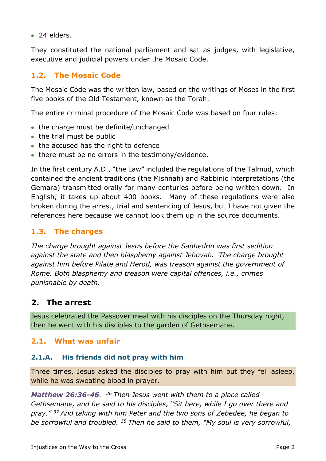• 24 elders.

They constituted the national parliament and sat as judges, with legislative, executive and judicial powers under the Mosaic Code.

# **1.2. The Mosaic Code**

The Mosaic Code was the written law, based on the writings of Moses in the first five books of the Old Testament, known as the Torah.

The entire criminal procedure of the Mosaic Code was based on four rules:

- the charge must be definite/unchanged
- the trial must be public
- the accused has the right to defence
- there must be no errors in the testimony/evidence.

In the first century A.D., "the Law" included the regulations of the Talmud, which contained the ancient traditions (the Mishnah) and Rabbinic interpretations (the Gemara) transmitted orally for many centuries before being written down. In English, it takes up about 400 books. Many of these regulations were also broken during the arrest, trial and sentencing of Jesus, but I have not given the references here because we cannot look them up in the source documents.

# **1.3. The charges**

*The charge brought against Jesus before the Sanhedrin was first sedition against the state and then blasphemy against Jehovah. The charge brought against him before Pilate and Herod, was treason against the government of Rome. Both blasphemy and treason were capital offences, i.e., crimes punishable by death.*

# <span id="page-1-0"></span>**2. The arrest**

Jesus celebrated the Passover meal with his disciples on the Thursday night, then he went with his disciples to the garden of Gethsemane.

# **2.1. What was unfair**

### **2.1.A. His friends did not pray with him**

Three times, Jesus asked the disciples to pray with him but they fell asleep, while he was sweating blood in prayer.

*Matthew 26:36-46. <sup>36</sup> Then Jesus went with them to a place called Gethsemane, and he said to his disciples, "Sit here, while I go over there and pray." <sup>37</sup> And taking with him Peter and the two sons of Zebedee, he began to be sorrowful and troubled. <sup>38</sup> Then he said to them, "My soul is very sorrowful,*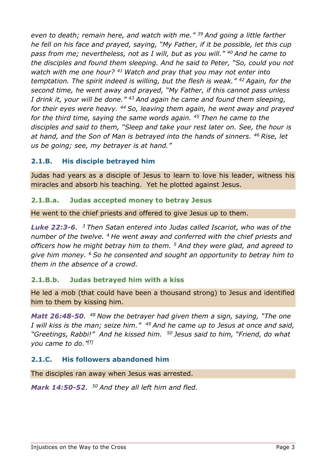*even to death; remain here, and watch with me." <sup>39</sup> And going a little farther he fell on his face and prayed, saying, "My Father, if it be possible, let this cup pass from me; nevertheless, not as I will, but as you will." <sup>40</sup> And he came to the disciples and found them sleeping. And he said to Peter, "So, could you not watch with me one hour? <sup>41</sup> Watch and pray that you may not enter into temptation. The spirit indeed is willing, but the flesh is weak." <sup>42</sup> Again, for the second time, he went away and prayed, "My Father, if this cannot pass unless I drink it, your will be done." <sup>43</sup> And again he came and found them sleeping, for their eyes were heavy. <sup>44</sup> So, leaving them again, he went away and prayed for the third time, saying the same words again. <sup>45</sup> Then he came to the disciples and said to them, "Sleep and take your rest later on. See, the hour is at hand, and the Son of Man is betrayed into the hands of sinners. <sup>46</sup> Rise, let us be going; see, my betrayer is at hand."*

# **2.1.B. His disciple betrayed him**

Judas had years as a disciple of Jesus to learn to love his leader, witness his miracles and absorb his teaching. Yet he plotted against Jesus.

### **2.1.B.a. Judas accepted money to betray Jesus**

He went to the chief priests and offered to give Jesus up to them.

*Luke 22:3-6. <sup>3</sup> Then Satan entered into Judas called Iscariot, who was of the number of the twelve. <sup>4</sup> He went away and conferred with the chief priests and officers how he might betray him to them. <sup>5</sup> And they were glad, and agreed to give him money. <sup>6</sup> So he consented and sought an opportunity to betray him to them in the absence of a crowd.*

# **2.1.B.b. Judas betrayed him with a kiss**

He led a mob (that could have been a thousand strong) to Jesus and identified him to them by kissing him.

*Matt 26:48-50. <sup>48</sup> Now the betrayer had given them a sign, saying, "The one I will kiss is the man; seize him." <sup>49</sup> And he came up to Jesus at once and said, "Greetings, Rabbi!" And he kissed him. <sup>50</sup> Jesus said to him, "Friend, do what you came to do." [f]*

# **2.1.C. His followers abandoned him**

The disciples ran away when Jesus was arrested.

*Mark 14:50-52. <sup>50</sup> And they all left him and fled.*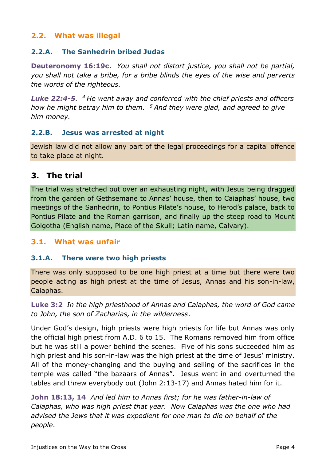# **2.2. What was illegal**

### **2.2.A. The Sanhedrin bribed Judas**

**Deuteronomy 16:19c**. *You shall not distort justice, you shall not be partial, you shall not take a bribe, for a bribe blinds the eyes of the wise and perverts the words of the righteous.*

*Luke 22:4-5. <sup>4</sup> He went away and conferred with the chief priests and officers how he might betray him to them. <sup>5</sup> And they were glad, and agreed to give him money.*

### **2.2.B. Jesus was arrested at night**

Jewish law did not allow any part of the legal proceedings for a capital offence to take place at night.

# <span id="page-3-0"></span>**3. The trial**

The trial was stretched out over an exhausting night, with Jesus being dragged from the garden of Gethsemane to Annas' house, then to Caiaphas' house, two meetings of the Sanhedrin, to Pontius Pilate's house, to Herod's palace, back to Pontius Pilate and the Roman garrison, and finally up the steep road to Mount Golgotha (English name, Place of the Skull; Latin name, Calvary).

### **3.1. What was unfair**

### **3.1.A. There were two high priests**

There was only supposed to be one high priest at a time but there were two people acting as high priest at the time of Jesus, Annas and his son-in-law, Caiaphas.

**Luke 3:2** *In the high priesthood of Annas and Caiaphas, the word of God came to John, the son of Zacharias, in the wilderness*.

Under God's design, high priests were high priests for life but Annas was only the official high priest from A.D. 6 to 15. The Romans removed him from office but he was still a power behind the scenes. Five of his sons succeeded him as high priest and his son-in-law was the high priest at the time of Jesus' ministry. All of the money-changing and the buying and selling of the sacrifices in the temple was called "the bazaars of Annas". Jesus went in and overturned the tables and threw everybody out (John 2:13-17) and Annas hated him for it.

**John 18:13, 14** *And led him to Annas first; for he was father-in-law of Caiaphas, who was high priest that year. Now Caiaphas was the one who had advised the Jews that it was expedient for one man to die on behalf of the people*.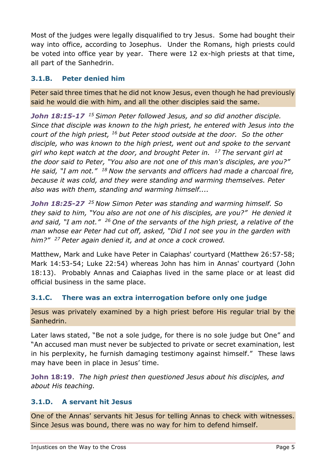Most of the judges were legally disqualified to try Jesus. Some had bought their way into office, according to Josephus. Under the Romans, high priests could be voted into office year by year. There were 12 ex-high priests at that time, all part of the Sanhedrin.

### **3.1.B. Peter denied him**

Peter said three times that he did not know Jesus, even though he had previously said he would die with him, and all the other disciples said the same.

*John 18:15-17 <sup>15</sup> Simon Peter followed Jesus, and so did another disciple. Since that disciple was known to the high priest, he entered with Jesus into the court of the high priest, <sup>16</sup> but Peter stood outside at the door. So the other disciple, who was known to the high priest, went out and spoke to the servant girl who kept watch at the door, and brought Peter in. <sup>17</sup> The servant girl at the door said to Peter, "You also are not one of this man's disciples, are you?" He said, "I am not." <sup>18</sup> Now the servants and officers had made a charcoal fire, because it was cold, and they were standing and warming themselves. Peter also was with them, standing and warming himself....*

*John 18:25-27 <sup>25</sup> Now Simon Peter was standing and warming himself. So they said to him, "You also are not one of his disciples, are you?" He denied it and said, "I am not." <sup>26</sup> One of the servants of the high priest, a relative of the man whose ear Peter had cut off, asked, "Did I not see you in the garden with him?" <sup>27</sup> Peter again denied it, and at once a cock crowed.*

Matthew, Mark and Luke have Peter in Caiaphas' courtyard (Matthew 26:57-58; Mark 14:53-54; Luke 22:54) whereas John has him in Annas' courtyard (John 18:13). Probably Annas and Caiaphas lived in the same place or at least did official business in the same place.

# **3.1.C. There was an extra interrogation before only one judge**

Jesus was privately examined by a high priest before His regular trial by the Sanhedrin.

Later laws stated, "Be not a sole judge, for there is no sole judge but One" and "An accused man must never be subjected to private or secret examination, lest in his perplexity, he furnish damaging testimony against himself." These laws may have been in place in Jesus' time.

**John 18:19**. *The high priest then questioned Jesus about his disciples, and about His teaching.*

# **3.1.D. A servant hit Jesus**

One of the Annas' servants hit Jesus for telling Annas to check with witnesses. Since Jesus was bound, there was no way for him to defend himself.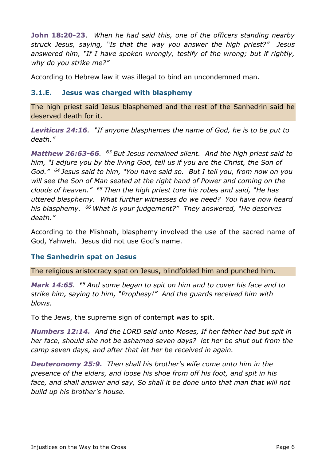**John 18:20-23**. *When he had said this, one of the officers standing nearby struck Jesus, saying, "Is that the way you answer the high priest?" Jesus answered him, "If I have spoken wrongly, testify of the wrong; but if rightly, why do you strike me?"*

According to Hebrew law it was illegal to bind an uncondemned man.

### **3.1.E. Jesus was charged with blasphemy**

The high priest said Jesus blasphemed and the rest of the Sanhedrin said he deserved death for it.

*Leviticus 24:16. "If anyone blasphemes the name of God, he is to be put to death."*

*Matthew 26:63-66. <sup>63</sup> But Jesus remained silent. And the high priest said to him, "I adjure you by the living God, tell us if you are the Christ, the Son of God." <sup>64</sup> Jesus said to him, "You have said so. But I tell you, from now on you will see the Son of Man seated at the right hand of Power and coming on the clouds of heaven." <sup>65</sup> Then the high priest tore his robes and said, "He has uttered blasphemy. What further witnesses do we need? You have now heard his blasphemy. <sup>66</sup> What is your judgement?" They answered, "He deserves death."*

According to the Mishnah, blasphemy involved the use of the sacred name of God, Yahweh. Jesus did not use God's name.

### **The Sanhedrin spat on Jesus**

The religious aristocracy spat on Jesus, blindfolded him and punched him.

*Mark 14:65. <sup>65</sup> And some began to spit on him and to cover his face and to strike him, saying to him, "Prophesy!" And the guards received him with blows.*

To the Jews, the supreme sign of contempt was to spit.

*Numbers 12:14. And the LORD said unto Moses, If her father had but spit in her face, should she not be ashamed seven days? let her be shut out from the camp seven days, and after that let her be received in again.*

*Deuteronomy 25:9. Then shall his brother's wife come unto him in the presence of the elders, and loose his shoe from off his foot, and spit in his face, and shall answer and say, So shall it be done unto that man that will not build up his brother's house.*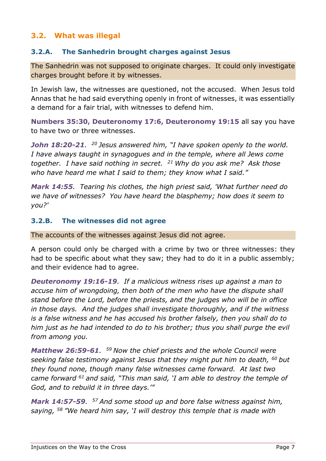# **3.2. What was illegal**

### **3.2.A. The Sanhedrin brought charges against Jesus**

The Sanhedrin was not supposed to originate charges. It could only investigate charges brought before it by witnesses.

In Jewish law, the witnesses are questioned, not the accused. When Jesus told Annas that he had said everything openly in front of witnesses, it was essentially a demand for a fair trial, with witnesses to defend him.

**Numbers 35:30, Deuteronomy 17:6, Deuteronomy 19:15** all say you have to have two or three witnesses.

*John 18:20-21. <sup>20</sup> Jesus answered him, "I have spoken openly to the world. I have always taught in synagogues and in the temple, where all Jews come together. I have said nothing in secret. <sup>21</sup> Why do you ask me? Ask those who have heard me what I said to them; they know what I said."*

*Mark 14:55. Tearing his clothes, the high priest said, 'What further need do we have of witnesses? You have heard the blasphemy; how does it seem to you?'*

#### **3.2.B. The witnesses did not agree**

The accounts of the witnesses against Jesus did not agree.

A person could only be charged with a crime by two or three witnesses: they had to be specific about what they saw; they had to do it in a public assembly; and their evidence had to agree.

*Deuteronomy 19:16-19. If a malicious witness rises up against a man to accuse him of wrongdoing, then both of the men who have the dispute shall stand before the Lord, before the priests, and the judges who will be in office in those days. And the judges shall investigate thoroughly, and if the witness is a false witness and he has accused his brother falsely, then you shall do to him just as he had intended to do to his brother; thus you shall purge the evil from among you.*

*Matthew 26:59-61. <sup>59</sup> Now the chief priests and the whole Council were seeking false testimony against Jesus that they might put him to death, <sup>60</sup> but they found none, though many false witnesses came forward. At last two came forward <sup>61</sup> and said, "This man said, 'I am able to destroy the temple of God, and to rebuild it in three days.'"*

*Mark 14:57-59. <sup>57</sup> And some stood up and bore false witness against him, saying, <sup>58</sup> "We heard him say, 'I will destroy this temple that is made with*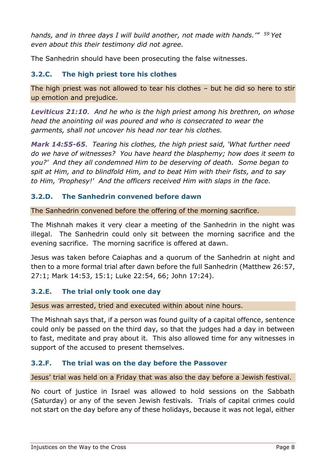*hands, and in three days I will build another, not made with hands.'" <sup>59</sup> Yet even about this their testimony did not agree.*

The Sanhedrin should have been prosecuting the false witnesses.

# **3.2.C. The high priest tore his clothes**

The high priest was not allowed to tear his clothes – but he did so here to stir up emotion and prejudice.

*Leviticus 21:10. And he who is the high priest among his brethren, on whose head the anointing oil was poured and who is consecrated to wear the garments, shall not uncover his head nor tear his clothes.*

*Mark 14:55-65. Tearing his clothes, the high priest said, 'What further need do we have of witnesses? You have heard the blasphemy; how does it seem to you?' And they all condemned Him to be deserving of death. Some began to spit at Him, and to blindfold Him, and to beat Him with their fists, and to say to Him, 'Prophesy!' And the officers received Him with slaps in the face.*

# **3.2.D. The Sanhedrin convened before dawn**

The Sanhedrin convened before the offering of the morning sacrifice.

The Mishnah makes it very clear a meeting of the Sanhedrin in the night was illegal. The Sanhedrin could only sit between the morning sacrifice and the evening sacrifice. The morning sacrifice is offered at dawn.

Jesus was taken before Caiaphas and a quorum of the Sanhedrin at night and then to a more formal trial after dawn before the full Sanhedrin (Matthew 26:57, 27:1; Mark 14:53, 15:1; Luke 22:54, 66; John 17:24).

# **3.2.E. The trial only took one day**

Jesus was arrested, tried and executed within about nine hours.

The Mishnah says that, if a person was found guilty of a capital offence, sentence could only be passed on the third day, so that the judges had a day in between to fast, meditate and pray about it. This also allowed time for any witnesses in support of the accused to present themselves.

# **3.2.F. The trial was on the day before the Passover**

Jesus' trial was held on a Friday that was also the day before a Jewish festival.

No court of justice in Israel was allowed to hold sessions on the Sabbath (Saturday) or any of the seven Jewish festivals. Trials of capital crimes could not start on the day before any of these holidays, because it was not legal, either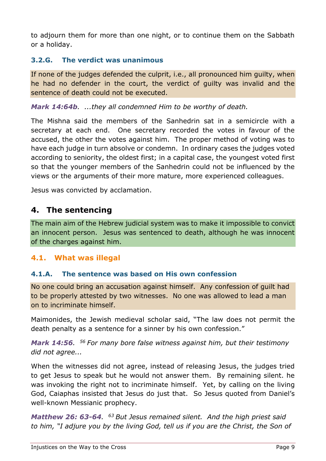to adjourn them for more than one night, or to continue them on the Sabbath or a holiday.

# **3.2.G. The verdict was unanimous**

If none of the judges defended the culprit, i.e., all pronounced him guilty, when he had no defender in the court, the verdict of guilty was invalid and the sentence of death could not be executed.

*Mark 14:64b. ...they all condemned Him to be worthy of death.*

The Mishna said the members of the Sanhedrin sat in a semicircle with a secretary at each end. One secretary recorded the votes in favour of the accused, the other the votes against him. The proper method of voting was to have each judge in turn absolve or condemn. In ordinary cases the judges voted according to seniority, the oldest first; in a capital case, the youngest voted first so that the younger members of the Sanhedrin could not be influenced by the views or the arguments of their more mature, more experienced colleagues.

Jesus was convicted by acclamation.

# <span id="page-8-0"></span>**4. The sentencing**

The main aim of the Hebrew judicial system was to make it impossible to convict an innocent person. Jesus was sentenced to death, although he was innocent of the charges against him.

# **4.1. What was illegal**

### **4.1.A. The sentence was based on His own confession**

No one could bring an accusation against himself. Any confession of guilt had to be properly attested by two witnesses. No one was allowed to lead a man on to incriminate himself.

Maimonides, the Jewish medieval scholar said, "The law does not permit the death penalty as a sentence for a sinner by his own confession."

*Mark 14:56. <sup>56</sup> For many bore false witness against him, but their testimony did not agree...*

When the witnesses did not agree, instead of releasing Jesus, the judges tried to get Jesus to speak but he would not answer them. By remaining silent. he was invoking the right not to incriminate himself. Yet, by calling on the living God, Caiaphas insisted that Jesus do just that. So Jesus quoted from Daniel's well-known Messianic prophecy.

**Matthew 26: 63-64.** <sup>63</sup> But Jesus remained silent. And the high priest said *to him, "I adjure you by the living God, tell us if you are the Christ, the Son of*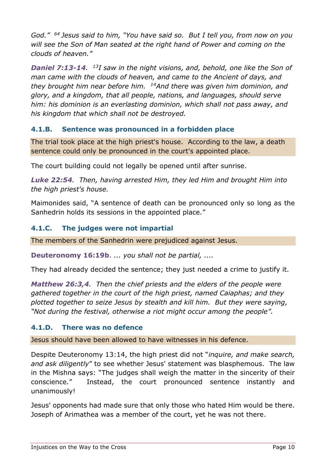*God." <sup>64</sup> Jesus said to him, "You have said so. But I tell you, from now on you will see the Son of Man seated at the right hand of Power and coming on the clouds of heaven."*

**Daniel 7:13-14.** <sup>13</sup>*I* saw in the night visions, and, behold, one like the Son of *man came with the clouds of heaven, and came to the Ancient of days, and they brought him near before him. <sup>14</sup>And there was given him dominion, and glory, and a kingdom, that all people, nations, and languages, should serve him: his dominion is an everlasting dominion, which shall not pass away, and his kingdom that which shall not be destroyed.*

# **4.1.B. Sentence was pronounced in a forbidden place**

The trial took place at the high priest's house. According to the law, a death sentence could only be pronounced in the court's appointed place.

The court building could not legally be opened until after sunrise.

*Luke 22:54. Then, having arrested Him, they led Him and brought Him into the high priest's house.*

Maimonides said, "A sentence of death can be pronounced only so long as the Sanhedrin holds its sessions in the appointed place."

### **4.1.C. The judges were not impartial**

The members of the Sanhedrin were prejudiced against Jesus.

**Deuteronomy 16:19b**. *... you shall not be partial, ....*

They had already decided the sentence; they just needed a crime to justify it.

*Matthew 26:3,4. Then the chief priests and the elders of the people were gathered together in the court of the high priest, named Caiaphas; and they plotted together to seize Jesus by stealth and kill him. But they were saying, "Not during the festival, otherwise a riot might occur among the people".* 

### **4.1.D. There was no defence**

Jesus should have been allowed to have witnesses in his defence.

Despite Deuteronomy 13:14, the high priest did not "*inquire, and make search, and ask diligently*" to see whether Jesus' statement was blasphemous. The law in the Mishna says: "The judges shall weigh the matter in the sincerity of their conscience." Instead, the court pronounced sentence instantly and unanimously!

Jesus' opponents had made sure that only those who hated Him would be there. Joseph of Arimathea was a member of the court, yet he was not there.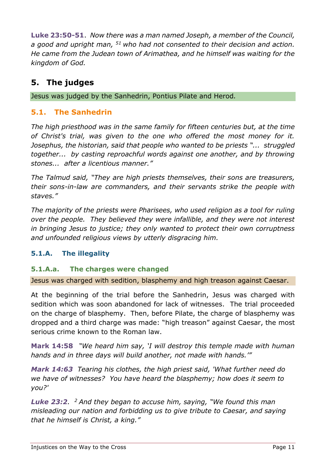**Luke 23:50-51**. *Now there was a man named Joseph, a member of the Council, a good and upright man, <sup>51</sup>who had not consented to their decision and action. He came from the Judean town of Arimathea, and he himself was waiting for the kingdom of God.*

# <span id="page-10-0"></span>**5. The judges**

Jesus was judged by the Sanhedrin, Pontius Pilate and Herod*.*

# **5.1. The Sanhedrin**

*The high priesthood was in the same family for fifteen centuries but, at the time of Christ's trial, was given to the one who offered the most money for it. Josephus, the historian, said that people who wanted to be priests "... struggled together... by casting reproachful words against one another, and by throwing stones... after a licentious manner."*

*The Talmud said, "They are high priests themselves, their sons are treasurers, their sons-in-law are commanders, and their servants strike the people with staves."*

*The majority of the priests were Pharisees, who used religion as a tool for ruling over the people. They believed they were infallible, and they were not interest in bringing Jesus to justice; they only wanted to protect their own corruptness and unfounded religious views by utterly disgracing him.*

# **5.1.A. The illegality**

# **5.1.A.a. The charges were changed**

Jesus was charged with sedition, blasphemy and high treason against Caesar.

At the beginning of the trial before the Sanhedrin, Jesus was charged with sedition which was soon abandoned for lack of witnesses. The trial proceeded on the charge of blasphemy. Then, before Pilate, the charge of blasphemy was dropped and a third charge was made: "high treason" against Caesar, the most serious crime known to the Roman law.

**Mark 14:58** *"We heard him say, 'I will destroy this temple made with human hands and in three days will build another, not made with hands.'"*

*Mark 14:63 Tearing his clothes, the high priest said, 'What further need do we have of witnesses? You have heard the blasphemy; how does it seem to you?'*

*Luke 23:2. <sup>2</sup> And they began to accuse him, saying, "We found this man misleading our nation and forbidding us to give tribute to Caesar, and saying that he himself is Christ, a king."*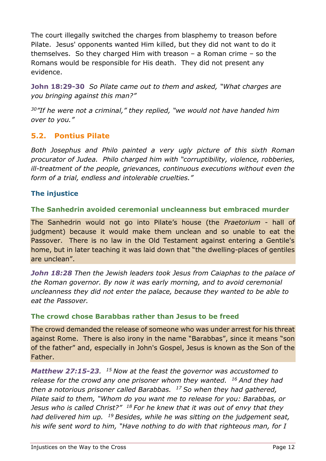The court illegally switched the charges from blasphemy to treason before Pilate. Jesus' opponents wanted Him killed, but they did not want to do it themselves. So they charged Him with treason – a Roman crime – so the Romans would be responsible for His death. They did not present any evidence.

**John 18:29-30** *So Pilate came out to them and asked, "What charges are you bringing against this man?"*

*<sup>30</sup>"If he were not a criminal," they replied, "we would not have handed him over to you."*

# **5.2. Pontius Pilate**

*Both Josephus and Philo painted a very ugly picture of this sixth Roman procurator of Judea. Philo charged him with "corruptibility, violence, robberies, ill-treatment of the people, grievances, continuous executions without even the form of a trial, endless and intolerable cruelties."*

### **The injustice**

#### **The Sanhedrin avoided ceremonial uncleanness but embraced murder**

The Sanhedrin would not go into Pilate's house (the *Praetorium* - hall of judgment) because it would make them unclean and so unable to eat the Passover. There is no law in the Old Testament against entering a Gentile's home, but in later teaching it was laid down that "the dwelling-places of gentiles are unclean".

*John 18:28 Then the Jewish leaders took Jesus from Caiaphas to the palace of the Roman governor. By now it was early morning, and to avoid ceremonial uncleanness they did not enter the palace, because they wanted to be able to eat the Passover.*

### **The crowd chose Barabbas rather than Jesus to be freed**

The crowd demanded the release of someone who was under arrest for his threat against Rome. There is also irony in the name "Barabbas", since it means "son of the father" and, especially in John's Gospel, Jesus is known as the Son of the Father.

*Matthew 27:15-23. <sup>15</sup> Now at the feast the governor was accustomed to release for the crowd any one prisoner whom they wanted. <sup>16</sup> And they had then a notorious prisoner called Barabbas. <sup>17</sup> So when they had gathered, Pilate said to them, "Whom do you want me to release for you: Barabbas, or Jesus who is called Christ?" <sup>18</sup> For he knew that it was out of envy that they had delivered him up. <sup>19</sup> Besides, while he was sitting on the judgement seat, his wife sent word to him, "Have nothing to do with that righteous man, for I*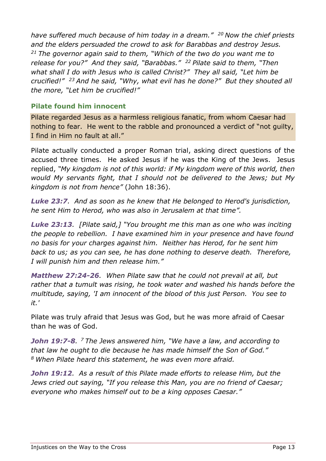*have suffered much because of him today in a dream." <sup>20</sup> Now the chief priests and the elders persuaded the crowd to ask for Barabbas and destroy Jesus. <sup>21</sup> The governor again said to them, "Which of the two do you want me to release for you?" And they said, "Barabbas." <sup>22</sup> Pilate said to them, "Then what shall I do with Jesus who is called Christ?" They all said, "Let him be crucified!" <sup>23</sup> And he said, "Why, what evil has he done?" But they shouted all the more, "Let him be crucified!"*

### **Pilate found him innocent**

Pilate regarded Jesus as a harmless religious fanatic, from whom Caesar had nothing to fear. He went to the rabble and pronounced a verdict of "not guilty, I find in Him no fault at all."

Pilate actually conducted a proper Roman trial, asking direct questions of the accused three times. He asked Jesus if he was the King of the Jews. Jesus replied, *"My kingdom is not of this world: if My kingdom were of this world, then would My servants fight, that I should not be delivered to the Jews; but My kingdom is not from hence"* (John 18:36).

*Luke 23:7. And as soon as he knew that He belonged to Herod's jurisdiction, he sent Him to Herod, who was also in Jerusalem at that time".*

*Luke 23:13. [Pilate said,] "You brought me this man as one who was inciting the people to rebellion. I have examined him in your presence and have found no basis for your charges against him. Neither has Herod, for he sent him back to us; as you can see, he has done nothing to deserve death. Therefore, I will punish him and then release him."*

*Matthew 27:24-26. When Pilate saw that he could not prevail at all, but rather that a tumult was rising, he took water and washed his hands before the multitude, saying, 'I am innocent of the blood of this just Person. You see to it.'*

Pilate was truly afraid that Jesus was God, but he was more afraid of Caesar than he was of God.

*John 19:7-8. <sup>7</sup> The Jews answered him, "We have a law, and according to that law he ought to die because he has made himself the Son of God." <sup>8</sup> When Pilate heard this statement, he was even more afraid.* 

*John 19:12. As a result of this Pilate made efforts to release Him, but the Jews cried out saying, "If you release this Man, you are no friend of Caesar; everyone who makes himself out to be a king opposes Caesar."*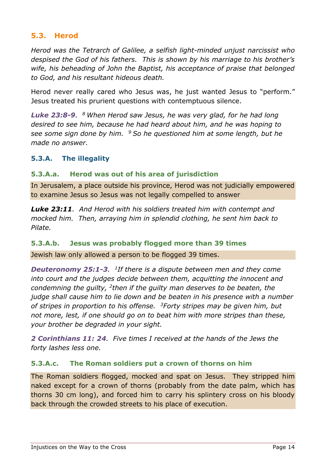# **5.3. Herod**

*Herod was the Tetrarch of Galilee, a selfish light-minded unjust narcissist who despised the God of his fathers. This is shown by his marriage to his brother's wife, his beheading of John the Baptist, his acceptance of praise that belonged to God, and his resultant hideous death.*

Herod never really cared who Jesus was, he just wanted Jesus to "perform." Jesus treated his prurient questions with contemptuous silence.

*Luke 23:8-9. <sup>8</sup> When Herod saw Jesus, he was very glad, for he had long desired to see him, because he had heard about him, and he was hoping to see some sign done by him. <sup>9</sup> So he questioned him at some length, but he made no answer.*

### **5.3.A. The illegality**

#### **5.3.A.a. Herod was out of his area of jurisdiction**

In Jerusalem, a place outside his province, Herod was not judicially empowered to examine Jesus so Jesus was not legally compelled to answer

*Luke 23:11. And Herod with his soldiers treated him with contempt and mocked him. Then, arraying him in splendid clothing, he sent him back to Pilate.*

### **5.3.A.b. Jesus was probably flogged more than 39 times**

Jewish law only allowed a person to be flogged 39 times.

*Deuteronomy 25:1-3. 1 If there is a dispute between men and they come into court and the judges decide between them, acquitting the innocent and*  condemning the guilty, <sup>2</sup>then if the guilty man deserves to be beaten, the *judge shall cause him to lie down and be beaten in his presence with a number of stripes in proportion to his offense. <sup>3</sup>Forty stripes may be given him, but not more, lest, if one should go on to beat him with more stripes than these, your brother be degraded in your sight.*

*2 Corinthians 11: 24. Five times I received at the hands of the Jews the forty lashes less one.*

#### **5.3.A.c. The Roman soldiers put a crown of thorns on him**

The Roman soldiers flogged, mocked and spat on Jesus. They stripped him naked except for a crown of thorns (probably from the date palm, which has thorns 30 cm long), and forced him to carry his splintery cross on his bloody back through the crowded streets to his place of execution.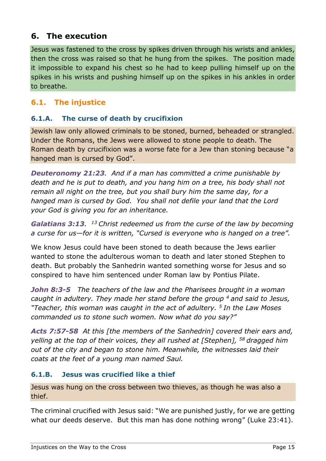# <span id="page-14-0"></span>**6. The execution**

Jesus was fastened to the cross by spikes driven through his wrists and ankles, then the cross was raised so that he hung from the spikes. The position made it impossible to expand his chest so he had to keep pulling himself up on the spikes in his wrists and pushing himself up on the spikes in his ankles in order to breathe*.*

# **6.1. The injustice**

# **6.1.A. The curse of death by crucifixion**

Jewish law only allowed criminals to be stoned, burned, beheaded or strangled. Under the Romans, the Jews were allowed to stone people to death. The Roman death by crucifixion was a worse fate for a Jew than stoning because "a hanged man is cursed by God".

*Deuteronomy 21:23. And if a man has committed a crime punishable by death and he is put to death, and you hang him on a tree, his body shall not remain all night on the tree, but you shall bury him the same day, for a hanged man is cursed by God. You shall not defile your land that the Lord your God is giving you for an inheritance.*

*Galatians 3:13. <sup>13</sup> Christ redeemed us from the curse of the law by becoming a curse for us—for it is written, "Cursed is everyone who is hanged on a tree".*

We know Jesus could have been stoned to death because the Jews earlier wanted to stone the adulterous woman to death and later stoned Stephen to death. But probably the Sanhedrin wanted something worse for Jesus and so conspired to have him sentenced under Roman law by Pontius Pilate.

*John 8:3-5 The teachers of the law and the Pharisees brought in a woman caught in adultery. They made her stand before the group <sup>4</sup> and said to Jesus, "Teacher, this woman was caught in the act of adultery. <sup>5</sup> In the Law Moses commanded us to stone such women. Now what do you say?"*

*Acts 7:57-58 At this [the members of the Sanhedrin] covered their ears and, yelling at the top of their voices, they all rushed at [Stephen], <sup>58</sup> dragged him out of the city and began to stone him. Meanwhile, the witnesses laid their coats at the feet of a young man named Saul.*

# **6.1.B. Jesus was crucified like a thief**

Jesus was hung on the cross between two thieves, as though he was also a thief.

The criminal crucified with Jesus said: "We are punished justly, for we are getting what our deeds deserve. But this man has done nothing wrong" (Luke 23:41).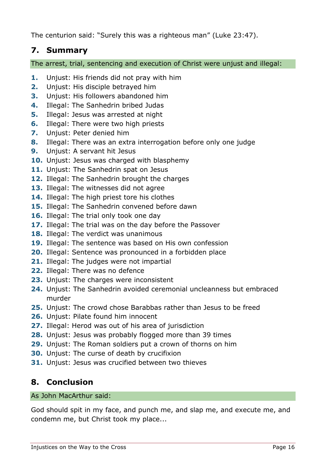The centurion said: "Surely this was a righteous man" (Luke 23:47).

# <span id="page-15-0"></span>**7. Summary**

The arrest, trial, sentencing and execution of Christ were unjust and illegal:

- **1.** Unjust: His friends did not pray with him
- **2.** Unjust: His disciple betrayed him
- **3.** Unjust: His followers abandoned him
- **4.** Illegal: The Sanhedrin bribed Judas
- **5.** Illegal: Jesus was arrested at night
- **6.** Illegal: There were two high priests
- **7.** Unjust: Peter denied him
- **8.** Illegal: There was an extra interrogation before only one judge
- **9.** Unjust: A servant hit Jesus
- **10.** Unjust: Jesus was charged with blasphemy
- **11.** Unjust: The Sanhedrin spat on Jesus
- **12.** Illegal: The Sanhedrin brought the charges
- **13.** Illegal: The witnesses did not agree
- **14.** Illegal: The high priest tore his clothes
- **15.** Illegal: The Sanhedrin convened before dawn
- **16.** Illegal: The trial only took one day
- **17.** Illegal: The trial was on the day before the Passover
- **18.** Illegal: The verdict was unanimous
- **19.** Illegal: The sentence was based on His own confession
- **20.** Illegal: Sentence was pronounced in a forbidden place
- **21.** Illegal: The judges were not impartial
- **22.** Illegal: There was no defence
- **23.** Unjust: The charges were inconsistent
- **24.** Unjust: The Sanhedrin avoided ceremonial uncleanness but embraced murder
- **25.** Unjust: The crowd chose Barabbas rather than Jesus to be freed
- **26.** Unjust: Pilate found him innocent
- **27.** Illegal: Herod was out of his area of jurisdiction
- **28.** Unjust: Jesus was probably flogged more than 39 times
- **29.** Unjust: The Roman soldiers put a crown of thorns on him
- **30.** Unjust: The curse of death by crucifixion
- **31.** Unjust: Jesus was crucified between two thieves

# <span id="page-15-1"></span>**8. Conclusion**

### As John MacArthur said:

God should spit in my face, and punch me, and slap me, and execute me, and condemn me, but Christ took my place...